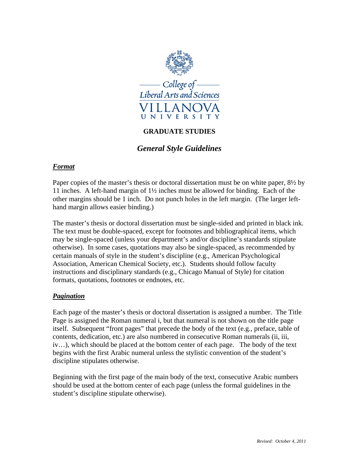

## **GRADUATE STUDIES**

## *General Style Guidelines*

## *Format*

Paper copies of the master's thesis or doctoral dissertation must be on white paper, 8½ by 11 inches. A left-hand margin of 1½ inches must be allowed for binding. Each of the other margins should be 1 inch. Do not punch holes in the left margin. (The larger lefthand margin allows easier binding.)

The master's thesis or doctoral dissertation must be single-sided and printed in black ink. The text must be double-spaced, except for footnotes and bibliographical items, which may be single-spaced (unless your department's and/or discipline's standards stipulate otherwise). In some cases, quotations may also be single-spaced, as recommended by certain manuals of style in the student's discipline (e.g., American Psychological Association, American Chemical Society, etc.). Students should follow faculty instructions and disciplinary standards (e.g., Chicago Manual of Style) for citation formats, quotations, footnotes or endnotes, etc.

## *Pagination*

Each page of the master's thesis or doctoral dissertation is assigned a number. The Title Page is assigned the Roman numeral i, but that numeral is not shown on the title page itself. Subsequent "front pages" that precede the body of the text (e.g., preface, table of contents, dedication, etc.) are also numbered in consecutive Roman numerals (ii, iii, iv…), which should be placed at the bottom center of each page. The body of the text begins with the first Arabic numeral unless the stylistic convention of the student's discipline stipulates otherwise.

Beginning with the first page of the main body of the text, consecutive Arabic numbers should be used at the bottom center of each page (unless the formal guidelines in the student's discipline stipulate otherwise).